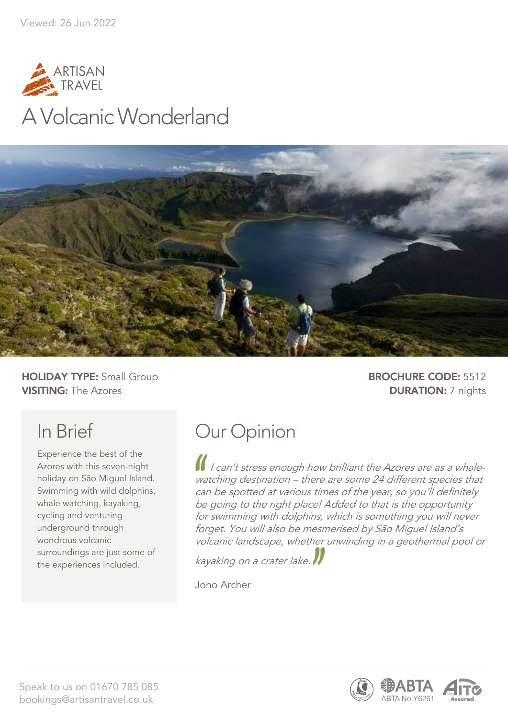



**HOLIDAY TYPE:** Small Group **BROCHURE CODE:** 5512 **VISITING:** The Azores **DURATION:** 7 nights

# In Brief

Experience the best of the Azores with this seven-night holiday on São Miguel Island. Swimming with wild dolphins, whale watching, kayaking, cycling and venturing underground through wondrous volcanic surroundings are just some of the experiences included.

# Our Opinion

I I can't stress enough how brilliant the Azores are as a whalewatching destination – there are some 24 different species that can be spotted at various times of the year, so you'll definitely be going to the right place! Added to that is the opportunity for swimming with dolphins, which is something you will never forget. You will also be mesmerised by São Miguel Island's volcanic landscape, whether unwinding in a geothermal pool or

kayaking on a crater lake.

Jono Archer

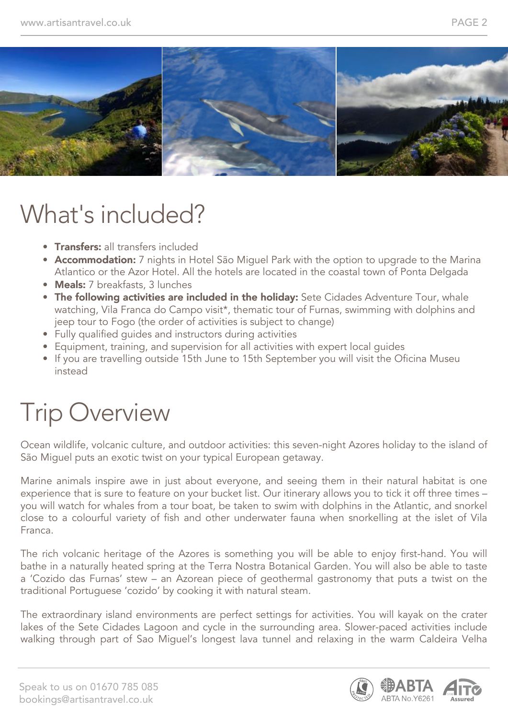

# What's included?

- **Transfers:** all transfers included
- Accommodation: 7 nights in Hotel São Miguel Park with the option to upgrade to the Marina Atlantico or the Azor Hotel. All the hotels are located in the coastal town of Ponta Delgada
- Meals: 7 breakfasts, 3 lunches
- The following activities are included in the holiday: Sete Cidades Adventure Tour, whale watching, Vila Franca do Campo visit\*, thematic tour of Furnas, swimming with dolphins and jeep tour to Fogo (the order of activities is subject to change)
- Fully qualified guides and instructors during activities
- Equipment, training, and supervision for all activities with expert local guides
- If you are travelling outside 15th June to 15th September you will visit the Oficina Museu instead

# Trip Overview

Ocean wildlife, volcanic culture, and outdoor activities: this seven-night Azores holiday to the island of São Miguel puts an exotic twist on your typical European getaway.

Marine animals inspire awe in just about everyone, and seeing them in their natural habitat is one experience that is sure to feature on your bucket list. Our itinerary allows you to tick it off three times – you will watch for whales from a tour boat, be taken to swim with dolphins in the Atlantic, and snorkel close to a colourful variety of fish and other underwater fauna when snorkelling at the islet of Vila Franca.

The rich volcanic heritage of the Azores is something you will be able to enjoy first-hand. You will bathe in a naturally heated spring at the Terra Nostra Botanical Garden. You will also be able to taste a 'Cozido das Furnas' stew – an Azorean piece of geothermal gastronomy that puts a twist on the traditional Portuguese 'cozido' by cooking it with natural steam.

The extraordinary island environments are perfect settings for activities. You will kayak on the crater lakes of the Sete Cidades Lagoon and cycle in the surrounding area. Slower-paced activities include walking through part of Sao Miguel's longest lava tunnel and relaxing in the warm Caldeira Velha

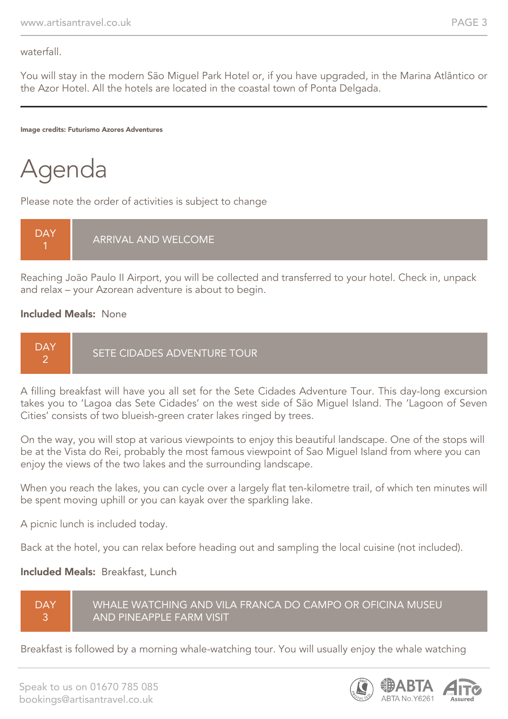waterfall.

You will stay in the modern São Miguel Park Hotel or, if you have upgraded, in the Marina Atlântico or the Azor Hotel. All the hotels are located in the coastal town of Ponta Delgada.

Image credits: Futurismo Azores Adventures



Please note the order of activities is subject to change



Reaching João Paulo II Airport, you will be collected and transferred to your hotel. Check in, unpack and relax – your Azorean adventure is about to begin.

### Included Meals: None



A filling breakfast will have you all set for the Sete Cidades Adventure Tour. This day-long excursion takes you to 'Lagoa das Sete Cidades' on the west side of São Miguel Island. The 'Lagoon of Seven Cities' consists of two blueish-green crater lakes ringed by trees.

On the way, you will stop at various viewpoints to enjoy this beautiful landscape. One of the stops will be at the Vista do Rei, probably the most famous viewpoint of Sao Miguel Island from where you can enjoy the views of the two lakes and the surrounding landscape.

When you reach the lakes, you can cycle over a largely flat ten-kilometre trail, of which ten minutes will be spent moving uphill or you can kayak over the sparkling lake.

A picnic lunch is included today.

Back at the hotel, you can relax before heading out and sampling the local cuisine (not included).

### Included Meals: Breakfast, Lunch

**DAY** 3

WHALE WATCHING AND VILA FRANCA DO CAMPO OR OFICINA MUSEU AND PINEAPPLE FARM VISIT

Breakfast is followed by a morning whale-watching tour. You will usually enjoy the whale watching

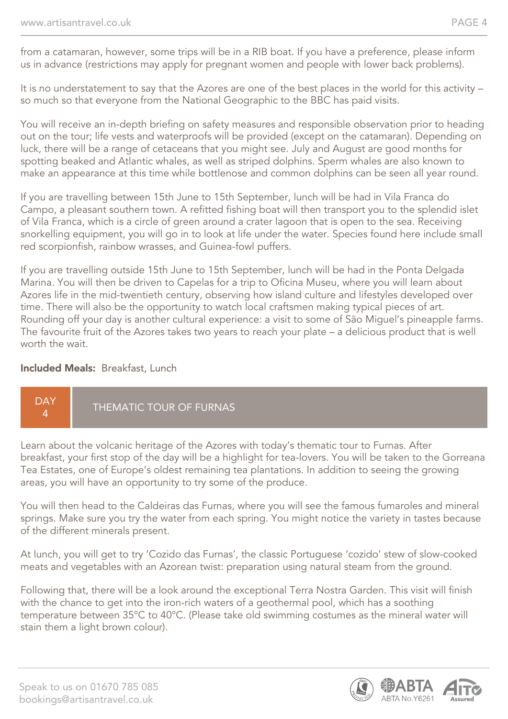from a catamaran, however, some trips will be in a RIB boat. If you have a preference, please inform us in advance (restrictions may apply for pregnant women and people with lower back problems).

It is no understatement to say that the Azores are one of the best places in the world for this activity – so much so that everyone from the National Geographic to the BBC has paid visits.

You will receive an in-depth briefing on safety measures and responsible observation prior to heading out on the tour; life vests and waterproofs will be provided (except on the catamaran). Depending on luck, there will be a range of cetaceans that you might see. July and August are good months for spotting beaked and Atlantic whales, as well as striped dolphins. Sperm whales are also known to make an appearance at this time while bottlenose and common dolphins can be seen all year round.

If you are travelling between 15th June to 15th September, lunch will be had in Vila Franca do Campo, a pleasant southern town. A refitted fishing boat will then transport you to the splendid islet of Vila Franca, which is a circle of green around a crater lagoon that is open to the sea. Receiving snorkelling equipment, you will go in to look at life under the water. Species found here include small red scorpionfish, rainbow wrasses, and Guinea-fowl puffers.

If you are travelling outside 15th June to 15th September, lunch will be had in the Ponta Delgada Marina. You will then be driven to Capelas for a trip to Oficina Museu, where you will learn about Azores life in the mid-twentieth century, observing how island culture and lifestyles developed over time. There will also be the opportunity to watch local craftsmen making typical pieces of art. Rounding off your day is another cultural experience: a visit to some of São Miguel's pineapple farms. The favourite fruit of the Azores takes two years to reach your plate – a delicious product that is well worth the wait.

### Included Meals: Breakfast, Lunch



Learn about the volcanic heritage of the Azores with today's thematic tour to Furnas. After breakfast, your first stop of the day will be a highlight for tea-lovers. You will be taken to the Gorreana Tea Estates, one of Europe's oldest remaining tea plantations. In addition to seeing the growing areas, you will have an opportunity to try some of the produce.

You will then head to the Caldeiras das Furnas, where you will see the famous fumaroles and mineral springs. Make sure you try the water from each spring. You might notice the variety in tastes because of the different minerals present.

At lunch, you will get to try 'Cozido das Furnas', the classic Portuguese 'cozido' stew of slow-cooked meats and vegetables with an Azorean twist: preparation using natural steam from the ground.

Following that, there will be a look around the exceptional Terra Nostra Garden. This visit will finish with the chance to get into the iron-rich waters of a geothermal pool, which has a soothing temperature between 35°C to 40°C. (Please take old swimming costumes as the mineral water will stain them a light brown colour).

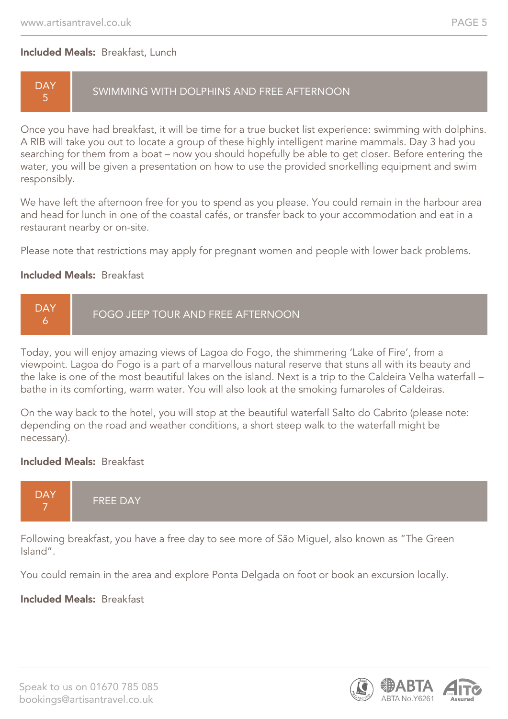### Included Meals: Breakfast, Lunch

## **DAY** 5

SWIMMING WITH DOLPHINS AND FREE AFTERNOON

Once you have had breakfast, it will be time for a true bucket list experience: swimming with dolphins. A RIB will take you out to locate a group of these highly intelligent marine mammals. Day 3 had you searching for them from a boat – now you should hopefully be able to get closer. Before entering the water, you will be given a presentation on how to use the provided snorkelling equipment and swim responsibly.

We have left the afternoon free for you to spend as you please. You could remain in the harbour area and head for lunch in one of the coastal cafés, or transfer back to your accommodation and eat in a restaurant nearby or on-site.

Please note that restrictions may apply for pregnant women and people with lower back problems.

### Included Meals: Breakfast



Today, you will enjoy amazing views of Lagoa do Fogo, the shimmering 'Lake of Fire', from a viewpoint. Lagoa do Fogo is a part of a marvellous natural reserve that stuns all with its beauty and the lake is one of the most beautiful lakes on the island. Next is a trip to the Caldeira Velha waterfall – bathe in its comforting, warm water. You will also look at the smoking fumaroles of Caldeiras.

On the way back to the hotel, you will stop at the beautiful waterfall Salto do Cabrito (please note: depending on the road and weather conditions, a short steep walk to the waterfall might be necessary).

### Included Meals: Breakfast



Following breakfast, you have a free day to see more of São Miguel, also known as "The Green Island".

You could remain in the area and explore Ponta Delgada on foot or book an excursion locally.

### Included Meals: Breakfast

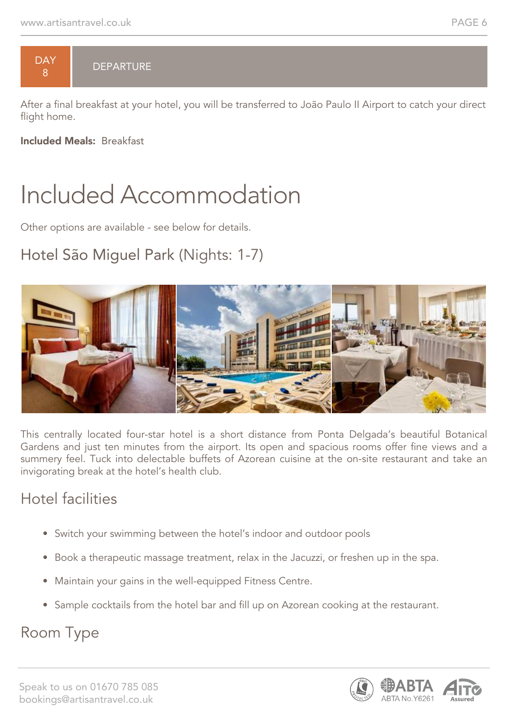

## DEPARTURE

After a final breakfast at your hotel, you will be transferred to João Paulo II Airport to catch your direct flight home.

Included Meals: Breakfast

# Included Accommodation

Other options are available - see below for details.

# Hotel São Miguel Park (Nights: 1-7)



This centrally located four-star hotel is a short distance from Ponta Delgada's beautiful Botanical Gardens and just ten minutes from the airport. Its open and spacious rooms offer fine views and a summery feel. Tuck into delectable buffets of Azorean cuisine at the on-site restaurant and take an invigorating break at the hotel's health club.

# Hotel facilities

- Switch your swimming between the hotel's indoor and outdoor pools
- Book a therapeutic massage treatment, relax in the Jacuzzi, or freshen up in the spa.
- Maintain your gains in the well-equipped Fitness Centre.
- Sample cocktails from the hotel bar and fill up on Azorean cooking at the restaurant.

# Room Type

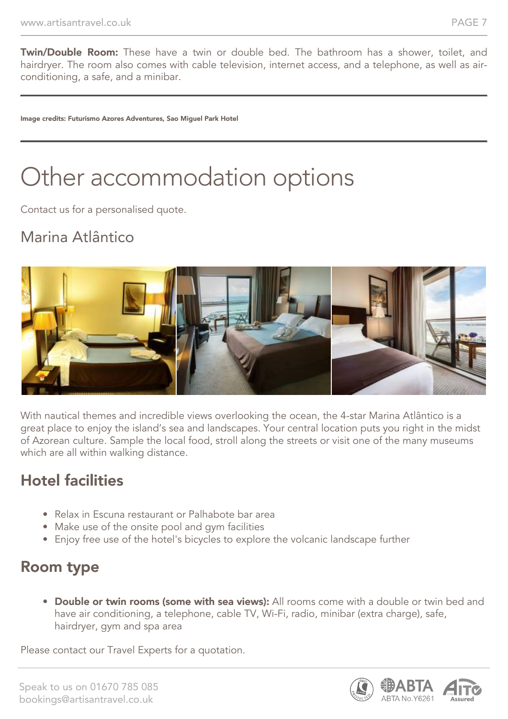**Twin/Double Room:** These have a twin or double bed. The bathroom has a shower, toilet, and hairdryer. The room also comes with cable television, internet access, and a telephone, as well as airconditioning, a safe, and a minibar.

Image credits: Futurismo Azores Adventures, Sao Miguel Park Hotel

# Other accommodation options

Contact us for a personalised quote.

# Marina Atlântico



With nautical themes and incredible views overlooking the ocean, the 4-star Marina Atlântico is a great place to enjoy the island's sea and landscapes. Your central location puts you right in the midst of Azorean culture. Sample the local food, stroll along the streets or visit one of the many museums which are all within walking distance.

# Hotel facilities

- Relax in Escuna restaurant or Palhabote bar area
- Make use of the onsite pool and gym facilities
- Enjoy free use of the hotel's bicycles to explore the volcanic landscape further

# Room type

• Double or twin rooms (some with sea views): All rooms come with a double or twin bed and have air conditioning, a telephone, cable TV, Wi-Fi, radio, minibar (extra charge), safe, hairdryer, gym and spa area

Please contact our Travel Experts for a quotation.

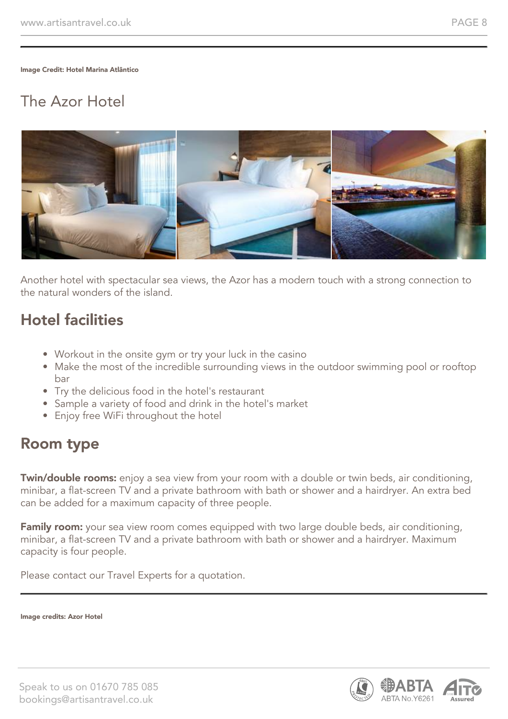Image Credit: Hotel Marina Atlântico

# The Azor Hotel



Another hotel with spectacular sea views, the Azor has a modern touch with a strong connection to the natural wonders of the island.

## Hotel facilities

- Workout in the onsite gym or try your luck in the casino
- Make the most of the incredible surrounding views in the outdoor swimming pool or rooftop bar
- Try the delicious food in the hotel's restaurant
- Sample a variety of food and drink in the hotel's market
- Enjoy free WiFi throughout the hotel

## Room type

**Twin/double rooms:** enjoy a sea view from your room with a double or twin beds, air conditioning, minibar, a flat-screen TV and a private bathroom with bath or shower and a hairdryer. An extra bed can be added for a maximum capacity of three people.

Family room: your sea view room comes equipped with two large double beds, air conditioning, minibar, a flat-screen TV and a private bathroom with bath or shower and a hairdryer. Maximum capacity is four people.

Please contact our Travel Experts for a quotation.

Image credits: Azor Hotel